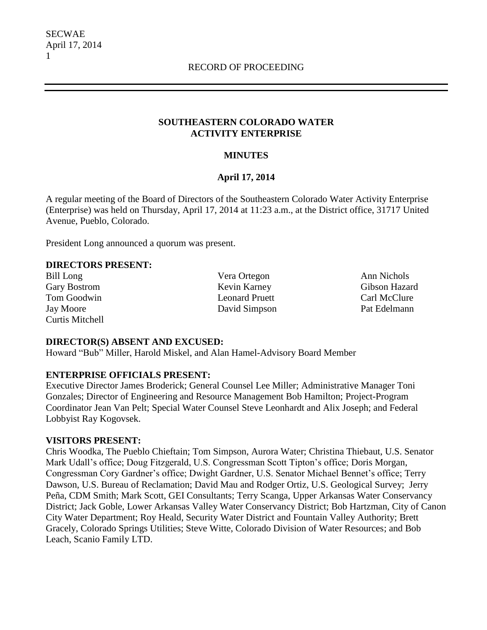### **SOUTHEASTERN COLORADO WATER ACTIVITY ENTERPRISE**

# **MINUTES**

# **April 17, 2014**

A regular meeting of the Board of Directors of the Southeastern Colorado Water Activity Enterprise (Enterprise) was held on Thursday, April 17, 2014 at 11:23 a.m., at the District office, 31717 United Avenue, Pueblo, Colorado.

President Long announced a quorum was present.

### **DIRECTORS PRESENT:**

Curtis Mitchell

Bill Long Vera Ortegon Ann Nichols Gary Bostrom Kevin Karney Gibson Hazard Tom Goodwin **Leonard Pruett** Carl McClure Jay Moore David Simpson Pat Edelmann

# **DIRECTOR(S) ABSENT AND EXCUSED:**

Howard "Bub" Miller, Harold Miskel, and Alan Hamel-Advisory Board Member

# **ENTERPRISE OFFICIALS PRESENT:**

Executive Director James Broderick; General Counsel Lee Miller; Administrative Manager Toni Gonzales; Director of Engineering and Resource Management Bob Hamilton; Project-Program Coordinator Jean Van Pelt; Special Water Counsel Steve Leonhardt and Alix Joseph; and Federal Lobbyist Ray Kogovsek.

### **VISITORS PRESENT:**

Chris Woodka, The Pueblo Chieftain; Tom Simpson, Aurora Water; Christina Thiebaut, U.S. Senator Mark Udall's office; Doug Fitzgerald, U.S. Congressman Scott Tipton's office; Doris Morgan, Congressman Cory Gardner's office; Dwight Gardner, U.S. Senator Michael Bennet's office; Terry Dawson, U.S. Bureau of Reclamation; David Mau and Rodger Ortiz, U.S. Geological Survey; Jerry Peña, CDM Smith; Mark Scott, GEI Consultants; Terry Scanga, Upper Arkansas Water Conservancy District; Jack Goble, Lower Arkansas Valley Water Conservancy District; Bob Hartzman, City of Canon City Water Department; Roy Heald, Security Water District and Fountain Valley Authority; Brett Gracely, Colorado Springs Utilities; Steve Witte, Colorado Division of Water Resources; and Bob Leach, Scanio Family LTD.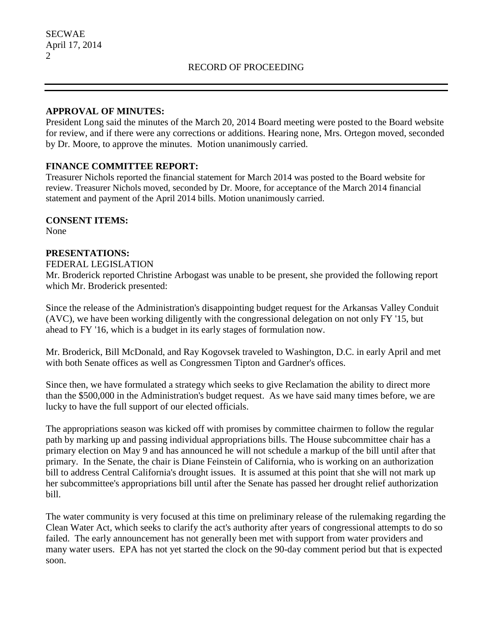### **APPROVAL OF MINUTES:**

President Long said the minutes of the March 20, 2014 Board meeting were posted to the Board website for review, and if there were any corrections or additions. Hearing none, Mrs. Ortegon moved, seconded by Dr. Moore, to approve the minutes. Motion unanimously carried.

## **FINANCE COMMITTEE REPORT:**

Treasurer Nichols reported the financial statement for March 2014 was posted to the Board website for review. Treasurer Nichols moved, seconded by Dr. Moore, for acceptance of the March 2014 financial statement and payment of the April 2014 bills. Motion unanimously carried.

### **CONSENT ITEMS:**

None

## **PRESENTATIONS:**

FEDERAL LEGISLATION

Mr. Broderick reported Christine Arbogast was unable to be present, she provided the following report which Mr. Broderick presented:

Since the release of the Administration's disappointing budget request for the Arkansas Valley Conduit (AVC), we have been working diligently with the congressional delegation on not only FY '15, but ahead to FY '16, which is a budget in its early stages of formulation now.

Mr. Broderick, Bill McDonald, and Ray Kogovsek traveled to Washington, D.C. in early April and met with both Senate offices as well as Congressmen Tipton and Gardner's offices.

Since then, we have formulated a strategy which seeks to give Reclamation the ability to direct more than the \$500,000 in the Administration's budget request. As we have said many times before, we are lucky to have the full support of our elected officials.

The appropriations season was kicked off with promises by committee chairmen to follow the regular path by marking up and passing individual appropriations bills. The House subcommittee chair has a primary election on May 9 and has announced he will not schedule a markup of the bill until after that primary. In the Senate, the chair is Diane Feinstein of California, who is working on an authorization bill to address Central California's drought issues. It is assumed at this point that she will not mark up her subcommittee's appropriations bill until after the Senate has passed her drought relief authorization bill.

The water community is very focused at this time on preliminary release of the rulemaking regarding the Clean Water Act, which seeks to clarify the act's authority after years of congressional attempts to do so failed. The early announcement has not generally been met with support from water providers and many water users. EPA has not yet started the clock on the 90-day comment period but that is expected soon.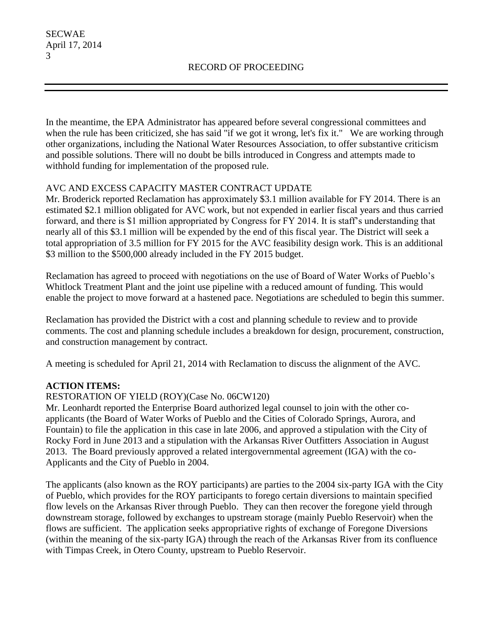In the meantime, the EPA Administrator has appeared before several congressional committees and when the rule has been criticized, she has said "if we got it wrong, let's fix it." We are working through other organizations, including the National Water Resources Association, to offer substantive criticism and possible solutions. There will no doubt be bills introduced in Congress and attempts made to withhold funding for implementation of the proposed rule.

# AVC AND EXCESS CAPACITY MASTER CONTRACT UPDATE

Mr. Broderick reported Reclamation has approximately \$3.1 million available for FY 2014. There is an estimated \$2.1 million obligated for AVC work, but not expended in earlier fiscal years and thus carried forward, and there is \$1 million appropriated by Congress for FY 2014. It is staff's understanding that nearly all of this \$3.1 million will be expended by the end of this fiscal year. The District will seek a total appropriation of 3.5 million for FY 2015 for the AVC feasibility design work. This is an additional \$3 million to the \$500,000 already included in the FY 2015 budget.

Reclamation has agreed to proceed with negotiations on the use of Board of Water Works of Pueblo's Whitlock Treatment Plant and the joint use pipeline with a reduced amount of funding. This would enable the project to move forward at a hastened pace. Negotiations are scheduled to begin this summer.

Reclamation has provided the District with a cost and planning schedule to review and to provide comments. The cost and planning schedule includes a breakdown for design, procurement, construction, and construction management by contract.

A meeting is scheduled for April 21, 2014 with Reclamation to discuss the alignment of the AVC.

# **ACTION ITEMS:**

# RESTORATION OF YIELD (ROY)(Case No. 06CW120)

Mr. Leonhardt reported the Enterprise Board authorized legal counsel to join with the other coapplicants (the Board of Water Works of Pueblo and the Cities of Colorado Springs, Aurora, and Fountain) to file the application in this case in late 2006, and approved a stipulation with the City of Rocky Ford in June 2013 and a stipulation with the Arkansas River Outfitters Association in August 2013. The Board previously approved a related intergovernmental agreement (IGA) with the co-Applicants and the City of Pueblo in 2004.

The applicants (also known as the ROY participants) are parties to the 2004 six-party IGA with the City of Pueblo, which provides for the ROY participants to forego certain diversions to maintain specified flow levels on the Arkansas River through Pueblo. They can then recover the foregone yield through downstream storage, followed by exchanges to upstream storage (mainly Pueblo Reservoir) when the flows are sufficient. The application seeks appropriative rights of exchange of Foregone Diversions (within the meaning of the six-party IGA) through the reach of the Arkansas River from its confluence with Timpas Creek, in Otero County, upstream to Pueblo Reservoir.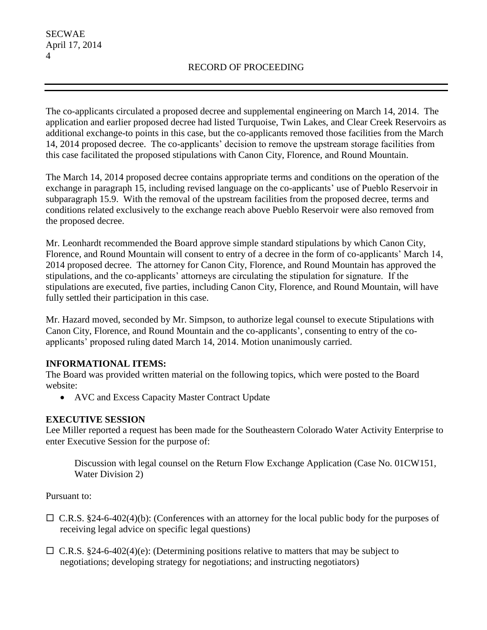The co-applicants circulated a proposed decree and supplemental engineering on March 14, 2014. The application and earlier proposed decree had listed Turquoise, Twin Lakes, and Clear Creek Reservoirs as additional exchange-to points in this case, but the co-applicants removed those facilities from the March 14, 2014 proposed decree. The co-applicants' decision to remove the upstream storage facilities from this case facilitated the proposed stipulations with Canon City, Florence, and Round Mountain.

The March 14, 2014 proposed decree contains appropriate terms and conditions on the operation of the exchange in paragraph 15, including revised language on the co-applicants' use of Pueblo Reservoir in subparagraph 15.9. With the removal of the upstream facilities from the proposed decree, terms and conditions related exclusively to the exchange reach above Pueblo Reservoir were also removed from the proposed decree.

Mr. Leonhardt recommended the Board approve simple standard stipulations by which Canon City, Florence, and Round Mountain will consent to entry of a decree in the form of co-applicants' March 14, 2014 proposed decree. The attorney for Canon City, Florence, and Round Mountain has approved the stipulations, and the co-applicants' attorneys are circulating the stipulation for signature. If the stipulations are executed, five parties, including Canon City, Florence, and Round Mountain, will have fully settled their participation in this case.

Mr. Hazard moved, seconded by Mr. Simpson, to authorize legal counsel to execute Stipulations with Canon City, Florence, and Round Mountain and the co-applicants', consenting to entry of the coapplicants' proposed ruling dated March 14, 2014. Motion unanimously carried.

# **INFORMATIONAL ITEMS:**

The Board was provided written material on the following topics, which were posted to the Board website:

• AVC and Excess Capacity Master Contract Update

# **EXECUTIVE SESSION**

Lee Miller reported a request has been made for the Southeastern Colorado Water Activity Enterprise to enter Executive Session for the purpose of:

Discussion with legal counsel on the Return Flow Exchange Application (Case No. 01CW151, Water Division 2)

Pursuant to:

- $\Box$  C.R.S. §24-6-402(4)(b): (Conferences with an attorney for the local public body for the purposes of receiving legal advice on specific legal questions)
- $\Box$  C.R.S. §24-6-402(4)(e): (Determining positions relative to matters that may be subject to negotiations; developing strategy for negotiations; and instructing negotiators)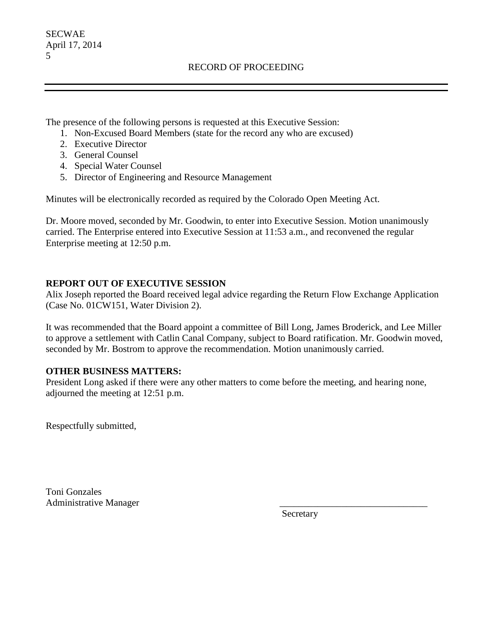The presence of the following persons is requested at this Executive Session:

- 1. Non-Excused Board Members (state for the record any who are excused)
- 2. Executive Director
- 3. General Counsel
- 4. Special Water Counsel
- 5. Director of Engineering and Resource Management

Minutes will be electronically recorded as required by the Colorado Open Meeting Act.

Dr. Moore moved, seconded by Mr. Goodwin, to enter into Executive Session. Motion unanimously carried. The Enterprise entered into Executive Session at 11:53 a.m., and reconvened the regular Enterprise meeting at 12:50 p.m.

## **REPORT OUT OF EXECUTIVE SESSION**

Alix Joseph reported the Board received legal advice regarding the Return Flow Exchange Application (Case No. 01CW151, Water Division 2).

It was recommended that the Board appoint a committee of Bill Long, James Broderick, and Lee Miller to approve a settlement with Catlin Canal Company, subject to Board ratification. Mr. Goodwin moved, seconded by Mr. Bostrom to approve the recommendation. Motion unanimously carried.

### **OTHER BUSINESS MATTERS:**

President Long asked if there were any other matters to come before the meeting, and hearing none, adjourned the meeting at 12:51 p.m.

Respectfully submitted,

Toni Gonzales Administrative Manager \_\_\_\_\_\_\_\_\_\_\_\_\_\_\_\_\_\_\_\_\_\_\_\_\_\_\_\_\_\_\_

Secretary